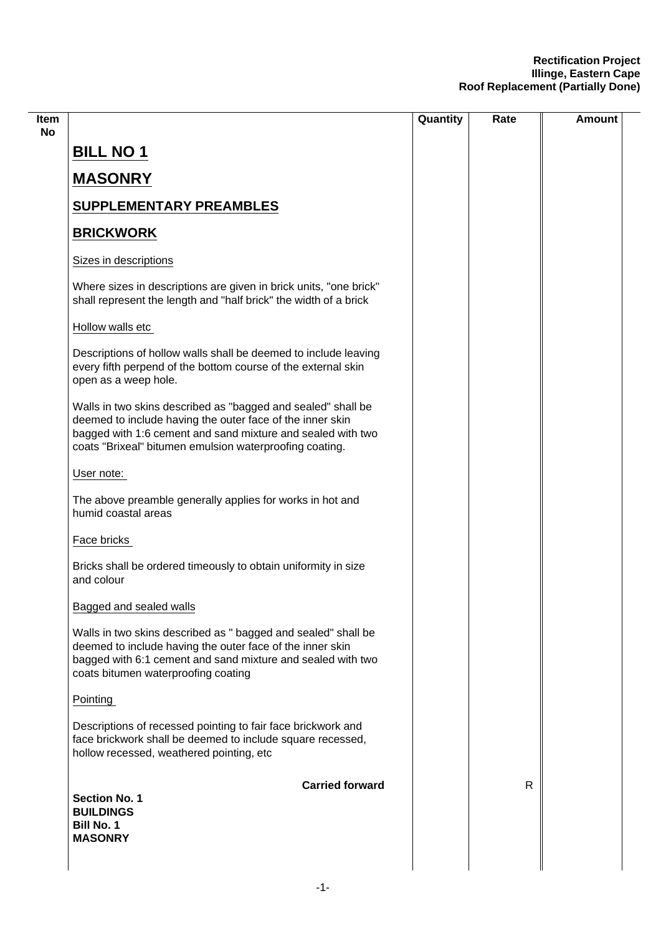|                                                                                                                                                                                                                                                     | Quantity | Rate | <b>Amount</b> |
|-----------------------------------------------------------------------------------------------------------------------------------------------------------------------------------------------------------------------------------------------------|----------|------|---------------|
| <b>BILL NO 1</b>                                                                                                                                                                                                                                    |          |      |               |
| <b>MASONRY</b>                                                                                                                                                                                                                                      |          |      |               |
| <b>SUPPLEMENTARY PREAMBLES</b>                                                                                                                                                                                                                      |          |      |               |
| <b>BRICKWORK</b>                                                                                                                                                                                                                                    |          |      |               |
| Sizes in descriptions                                                                                                                                                                                                                               |          |      |               |
| Where sizes in descriptions are given in brick units, "one brick"<br>shall represent the length and "half brick" the width of a brick                                                                                                               |          |      |               |
| Hollow walls etc                                                                                                                                                                                                                                    |          |      |               |
| Descriptions of hollow walls shall be deemed to include leaving<br>every fifth perpend of the bottom course of the external skin<br>open as a weep hole.                                                                                            |          |      |               |
| Walls in two skins described as "bagged and sealed" shall be<br>deemed to include having the outer face of the inner skin<br>bagged with 1:6 cement and sand mixture and sealed with two<br>coats "Brixeal" bitumen emulsion waterproofing coating. |          |      |               |
| User note:                                                                                                                                                                                                                                          |          |      |               |
| The above preamble generally applies for works in hot and<br>humid coastal areas                                                                                                                                                                    |          |      |               |
| Face bricks                                                                                                                                                                                                                                         |          |      |               |
| Bricks shall be ordered timeously to obtain uniformity in size<br>and colour                                                                                                                                                                        |          |      |               |
| Bagged and sealed walls                                                                                                                                                                                                                             |          |      |               |
| Walls in two skins described as " bagged and sealed" shall be<br>deemed to include having the outer face of the inner skin<br>bagged with 6:1 cement and sand mixture and sealed with two<br>coats bitumen waterproofing coating                    |          |      |               |
| Pointing                                                                                                                                                                                                                                            |          |      |               |
| Descriptions of recessed pointing to fair face brickwork and<br>face brickwork shall be deemed to include square recessed,<br>hollow recessed, weathered pointing, etc                                                                              |          |      |               |
| <b>Carried forward</b><br><b>Section No. 1</b><br><b>BUILDINGS</b><br><b>Bill No. 1</b><br><b>MASONRY</b>                                                                                                                                           |          | R.   |               |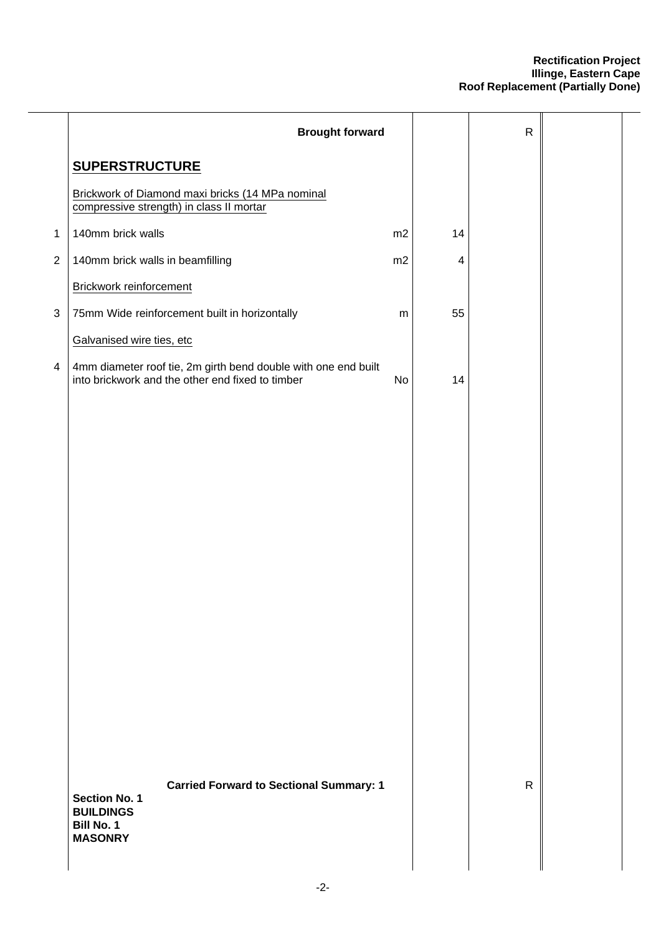|                           | <b>Brought forward</b>                                                                                                            |           |                         | $\mathsf{R}$ |  |
|---------------------------|-----------------------------------------------------------------------------------------------------------------------------------|-----------|-------------------------|--------------|--|
|                           | <b>SUPERSTRUCTURE</b>                                                                                                             |           |                         |              |  |
|                           | Brickwork of Diamond maxi bricks (14 MPa nominal<br>compressive strength) in class II mortar                                      |           |                         |              |  |
| $\mathbf{1}$              | 140mm brick walls                                                                                                                 | m2        | 14                      |              |  |
| $\boldsymbol{2}$          | 140mm brick walls in beamfilling                                                                                                  | m2        | $\overline{\mathbf{4}}$ |              |  |
|                           | Brickwork reinforcement                                                                                                           |           |                         |              |  |
| $\ensuremath{\mathsf{3}}$ | 75mm Wide reinforcement built in horizontally                                                                                     | ${\sf m}$ | 55                      |              |  |
|                           | Galvanised wire ties, etc                                                                                                         |           |                         |              |  |
| 4                         | 4mm diameter roof tie, 2m girth bend double with one end built<br>into brickwork and the other end fixed to timber                | No        | 14                      |              |  |
|                           |                                                                                                                                   |           |                         |              |  |
|                           |                                                                                                                                   |           |                         |              |  |
|                           |                                                                                                                                   |           |                         |              |  |
|                           |                                                                                                                                   |           |                         |              |  |
|                           |                                                                                                                                   |           |                         |              |  |
|                           |                                                                                                                                   |           |                         |              |  |
|                           |                                                                                                                                   |           |                         |              |  |
|                           |                                                                                                                                   |           |                         |              |  |
|                           |                                                                                                                                   |           |                         |              |  |
|                           |                                                                                                                                   |           |                         |              |  |
|                           |                                                                                                                                   |           |                         |              |  |
|                           |                                                                                                                                   |           |                         |              |  |
|                           |                                                                                                                                   |           |                         |              |  |
|                           |                                                                                                                                   |           |                         |              |  |
|                           | <b>Carried Forward to Sectional Summary: 1</b><br><b>Section No. 1</b><br><b>BUILDINGS</b><br><b>Bill No. 1</b><br><b>MASONRY</b> |           |                         | $\mathsf{R}$ |  |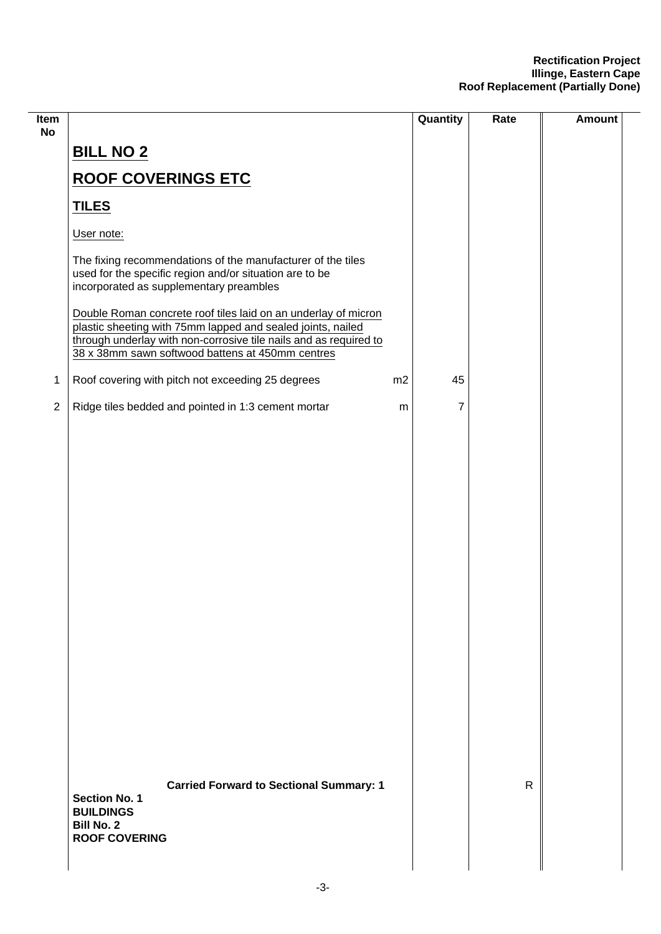| Item<br><b>No</b> |                                                                                                                                                                                                                                                        |    | Quantity | Rate         | <b>Amount</b> |
|-------------------|--------------------------------------------------------------------------------------------------------------------------------------------------------------------------------------------------------------------------------------------------------|----|----------|--------------|---------------|
|                   | <b>BILL NO 2</b>                                                                                                                                                                                                                                       |    |          |              |               |
|                   | <b>ROOF COVERINGS ETC</b>                                                                                                                                                                                                                              |    |          |              |               |
|                   | <b>TILES</b>                                                                                                                                                                                                                                           |    |          |              |               |
|                   | User note:                                                                                                                                                                                                                                             |    |          |              |               |
|                   | The fixing recommendations of the manufacturer of the tiles<br>used for the specific region and/or situation are to be<br>incorporated as supplementary preambles                                                                                      |    |          |              |               |
|                   | Double Roman concrete roof tiles laid on an underlay of micron<br>plastic sheeting with 75mm lapped and sealed joints, nailed<br>through underlay with non-corrosive tile nails and as required to<br>38 x 38mm sawn softwood battens at 450mm centres |    |          |              |               |
| $\mathbf 1$       | Roof covering with pitch not exceeding 25 degrees                                                                                                                                                                                                      | m2 | 45       |              |               |
| $\overline{2}$    | Ridge tiles bedded and pointed in 1:3 cement mortar                                                                                                                                                                                                    | m  | 7        |              |               |
|                   |                                                                                                                                                                                                                                                        |    |          |              |               |
|                   | <b>Carried Forward to Sectional Summary: 1</b><br><b>Section No. 1</b><br><b>BUILDINGS</b><br><b>Bill No. 2</b><br><b>ROOF COVERING</b>                                                                                                                |    |          | $\mathsf{R}$ |               |

 $\overline{\phantom{0}}$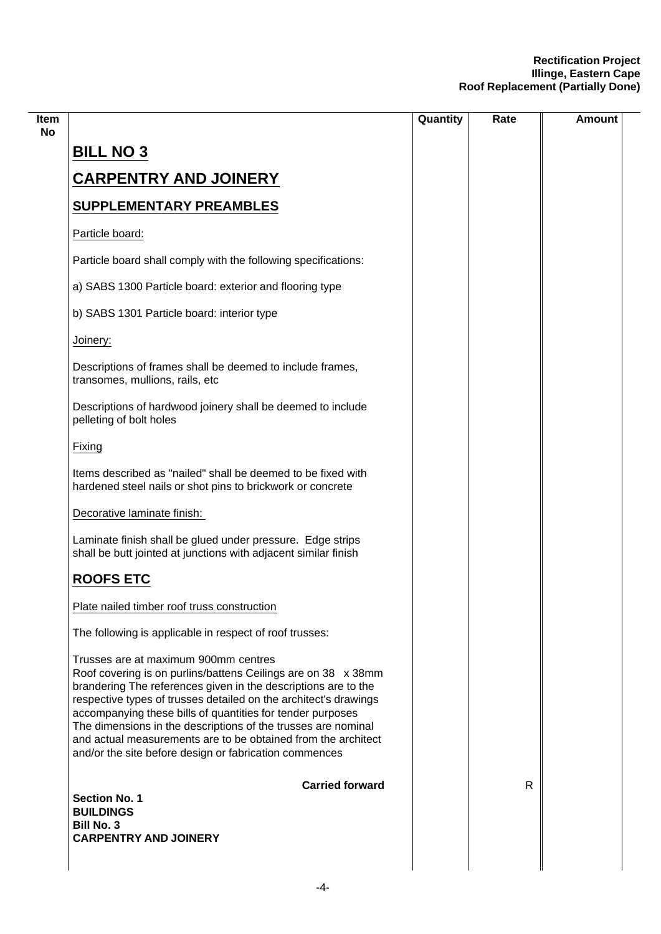|                                                                                                                                                                                                                                                                                                                                                                                                                                                                                                       | Quantity | Rate | Amount |
|-------------------------------------------------------------------------------------------------------------------------------------------------------------------------------------------------------------------------------------------------------------------------------------------------------------------------------------------------------------------------------------------------------------------------------------------------------------------------------------------------------|----------|------|--------|
| <b>BILL NO 3</b>                                                                                                                                                                                                                                                                                                                                                                                                                                                                                      |          |      |        |
| <b>CARPENTRY AND JOINERY</b>                                                                                                                                                                                                                                                                                                                                                                                                                                                                          |          |      |        |
| <b>SUPPLEMENTARY PREAMBLES</b>                                                                                                                                                                                                                                                                                                                                                                                                                                                                        |          |      |        |
| Particle board:                                                                                                                                                                                                                                                                                                                                                                                                                                                                                       |          |      |        |
| Particle board shall comply with the following specifications:                                                                                                                                                                                                                                                                                                                                                                                                                                        |          |      |        |
| a) SABS 1300 Particle board: exterior and flooring type                                                                                                                                                                                                                                                                                                                                                                                                                                               |          |      |        |
| b) SABS 1301 Particle board: interior type                                                                                                                                                                                                                                                                                                                                                                                                                                                            |          |      |        |
| Joinery:                                                                                                                                                                                                                                                                                                                                                                                                                                                                                              |          |      |        |
| Descriptions of frames shall be deemed to include frames,<br>transomes, mullions, rails, etc                                                                                                                                                                                                                                                                                                                                                                                                          |          |      |        |
| Descriptions of hardwood joinery shall be deemed to include<br>pelleting of bolt holes                                                                                                                                                                                                                                                                                                                                                                                                                |          |      |        |
| Fixing                                                                                                                                                                                                                                                                                                                                                                                                                                                                                                |          |      |        |
| Items described as "nailed" shall be deemed to be fixed with<br>hardened steel nails or shot pins to brickwork or concrete                                                                                                                                                                                                                                                                                                                                                                            |          |      |        |
| Decorative laminate finish:                                                                                                                                                                                                                                                                                                                                                                                                                                                                           |          |      |        |
| Laminate finish shall be glued under pressure. Edge strips<br>shall be butt jointed at junctions with adjacent similar finish                                                                                                                                                                                                                                                                                                                                                                         |          |      |        |
| <b>ROOFS ETC</b>                                                                                                                                                                                                                                                                                                                                                                                                                                                                                      |          |      |        |
| Plate nailed timber roof truss construction                                                                                                                                                                                                                                                                                                                                                                                                                                                           |          |      |        |
| The following is applicable in respect of roof trusses:                                                                                                                                                                                                                                                                                                                                                                                                                                               |          |      |        |
| Trusses are at maximum 900mm centres<br>Roof covering is on purlins/battens Ceilings are on 38 x 38mm<br>brandering The references given in the descriptions are to the<br>respective types of trusses detailed on the architect's drawings<br>accompanying these bills of quantities for tender purposes<br>The dimensions in the descriptions of the trusses are nominal<br>and actual measurements are to be obtained from the architect<br>and/or the site before design or fabrication commences |          |      |        |
| <b>Carried forward</b>                                                                                                                                                                                                                                                                                                                                                                                                                                                                                |          | R    |        |
| <b>Section No. 1</b><br><b>BUILDINGS</b>                                                                                                                                                                                                                                                                                                                                                                                                                                                              |          |      |        |
| <b>Bill No. 3</b><br><b>CARPENTRY AND JOINERY</b>                                                                                                                                                                                                                                                                                                                                                                                                                                                     |          |      |        |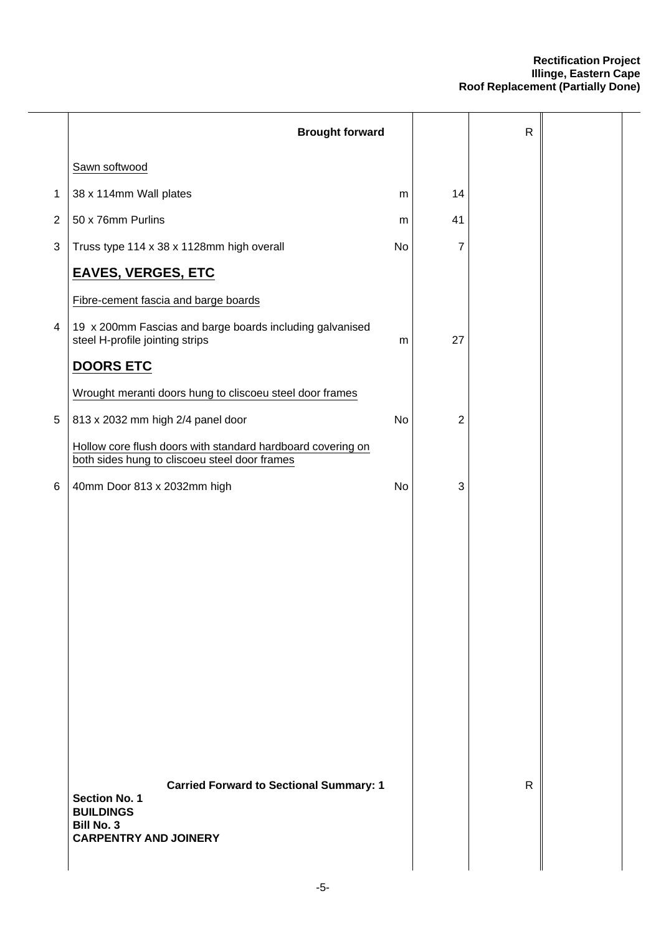|                           | <b>Brought forward</b>                                                                                                                          |    |    | $\mathsf{R}$ |  |
|---------------------------|-------------------------------------------------------------------------------------------------------------------------------------------------|----|----|--------------|--|
|                           | Sawn softwood                                                                                                                                   |    |    |              |  |
| 1                         | 38 x 114mm Wall plates                                                                                                                          | m  | 14 |              |  |
| $\overline{2}$            | 50 x 76mm Purlins                                                                                                                               | m  | 41 |              |  |
| $\ensuremath{\mathsf{3}}$ | Truss type 114 x 38 x 1128mm high overall                                                                                                       | No | 7  |              |  |
|                           | <b>EAVES, VERGES, ETC</b>                                                                                                                       |    |    |              |  |
|                           | Fibre-cement fascia and barge boards                                                                                                            |    |    |              |  |
| 4                         | 19 x 200mm Fascias and barge boards including galvanised<br>steel H-profile jointing strips                                                     | m  | 27 |              |  |
|                           | <b>DOORS ETC</b>                                                                                                                                |    |    |              |  |
|                           | Wrought meranti doors hung to cliscoeu steel door frames                                                                                        |    |    |              |  |
| 5                         | 813 x 2032 mm high 2/4 panel door                                                                                                               | No | 2  |              |  |
|                           | Hollow core flush doors with standard hardboard covering on<br>both sides hung to cliscoeu steel door frames                                    |    |    |              |  |
| 6                         | 40mm Door 813 x 2032mm high                                                                                                                     | No | 3  |              |  |
|                           |                                                                                                                                                 |    |    |              |  |
|                           |                                                                                                                                                 |    |    |              |  |
|                           |                                                                                                                                                 |    |    |              |  |
|                           |                                                                                                                                                 |    |    |              |  |
|                           |                                                                                                                                                 |    |    |              |  |
|                           |                                                                                                                                                 |    |    |              |  |
|                           |                                                                                                                                                 |    |    |              |  |
|                           |                                                                                                                                                 |    |    |              |  |
|                           |                                                                                                                                                 |    |    |              |  |
|                           |                                                                                                                                                 |    |    |              |  |
|                           | <b>Carried Forward to Sectional Summary: 1</b><br><b>Section No. 1</b><br><b>BUILDINGS</b><br><b>Bill No. 3</b><br><b>CARPENTRY AND JOINERY</b> |    |    | $\mathsf{R}$ |  |
|                           |                                                                                                                                                 |    |    |              |  |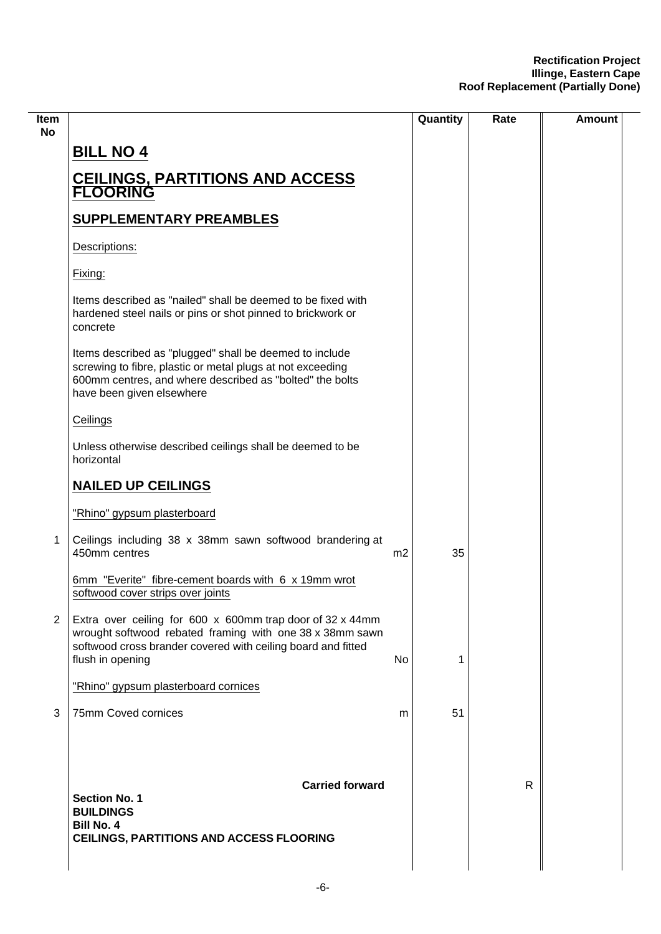| <b>Item</b><br>No |                                                                                                                                                                                                                |                | Quantity | Rate         | <b>Amount</b> |
|-------------------|----------------------------------------------------------------------------------------------------------------------------------------------------------------------------------------------------------------|----------------|----------|--------------|---------------|
|                   | <b>BILL NO 4</b>                                                                                                                                                                                               |                |          |              |               |
|                   | <b>CEILINGS, PARTITIONS AND ACCESS</b><br><b>FLOORING</b>                                                                                                                                                      |                |          |              |               |
|                   | <b>SUPPLEMENTARY PREAMBLES</b>                                                                                                                                                                                 |                |          |              |               |
|                   | Descriptions:                                                                                                                                                                                                  |                |          |              |               |
|                   | Fixing:                                                                                                                                                                                                        |                |          |              |               |
|                   | Items described as "nailed" shall be deemed to be fixed with<br>hardened steel nails or pins or shot pinned to brickwork or<br>concrete                                                                        |                |          |              |               |
|                   | Items described as "plugged" shall be deemed to include<br>screwing to fibre, plastic or metal plugs at not exceeding<br>600mm centres, and where described as "bolted" the bolts<br>have been given elsewhere |                |          |              |               |
|                   | Ceilings                                                                                                                                                                                                       |                |          |              |               |
|                   | Unless otherwise described ceilings shall be deemed to be<br>horizontal                                                                                                                                        |                |          |              |               |
|                   | <b>NAILED UP CEILINGS</b>                                                                                                                                                                                      |                |          |              |               |
|                   | "Rhino" gypsum plasterboard                                                                                                                                                                                    |                |          |              |               |
| 1                 | Ceilings including 38 x 38mm sawn softwood brandering at<br>450mm centres                                                                                                                                      | m <sub>2</sub> | 35       |              |               |
|                   | 6mm "Everite" fibre-cement boards with 6 x 19mm wrot<br>softwood cover strips over joints                                                                                                                      |                |          |              |               |
| $\overline{2}$    | Extra over ceiling for 600 x 600mm trap door of 32 x 44mm<br>wrought softwood rebated framing with one 38 x 38mm sawn<br>softwood cross brander covered with ceiling board and fitted<br>flush in opening      | No             | 1        |              |               |
|                   | "Rhino" gypsum plasterboard cornices                                                                                                                                                                           |                |          |              |               |
| 3                 | 75mm Coved cornices                                                                                                                                                                                            | m              | 51       |              |               |
|                   | <b>Carried forward</b><br><b>Section No. 1</b><br><b>BUILDINGS</b>                                                                                                                                             |                |          | $\mathsf{R}$ |               |
|                   | <b>Bill No. 4</b><br><b>CEILINGS, PARTITIONS AND ACCESS FLOORING</b>                                                                                                                                           |                |          |              |               |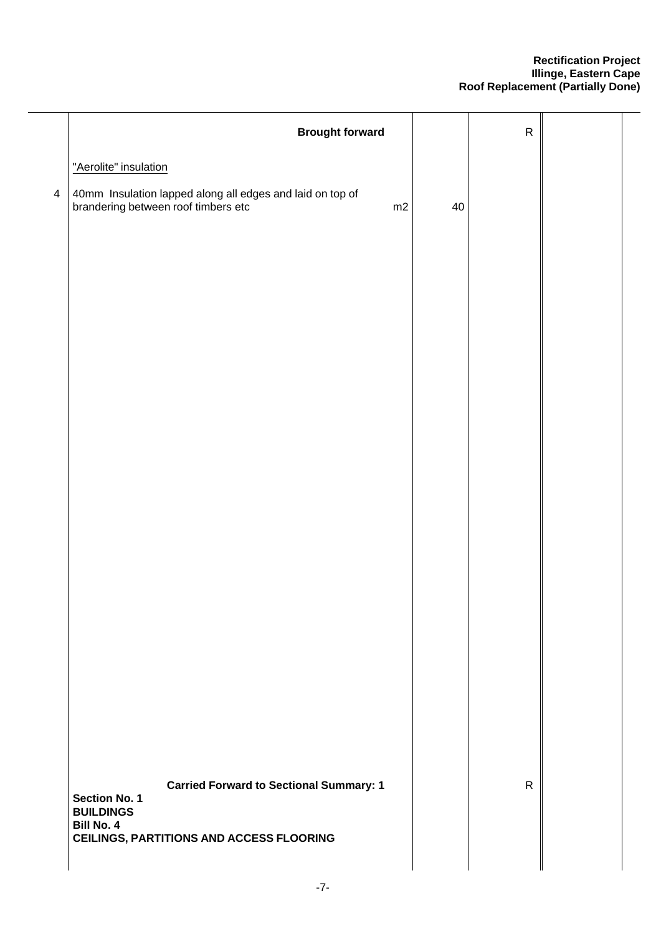|                | <b>Brought forward</b>                                                                                 |    | ${\sf R}$    |  |
|----------------|--------------------------------------------------------------------------------------------------------|----|--------------|--|
|                | "Aerolite" insulation                                                                                  |    |              |  |
| $\overline{4}$ | 40mm Insulation lapped along all edges and laid on top of<br>brandering between roof timbers etc<br>m2 | 40 |              |  |
|                |                                                                                                        |    |              |  |
|                |                                                                                                        |    |              |  |
|                |                                                                                                        |    |              |  |
|                |                                                                                                        |    |              |  |
|                |                                                                                                        |    |              |  |
|                |                                                                                                        |    |              |  |
|                |                                                                                                        |    |              |  |
|                |                                                                                                        |    |              |  |
|                |                                                                                                        |    |              |  |
|                |                                                                                                        |    |              |  |
|                |                                                                                                        |    |              |  |
|                | <b>Carried Forward to Sectional Summary: 1</b>                                                         |    | $\mathsf{R}$ |  |
|                | Section No. 1<br><b>BUILDINGS</b><br><b>Bill No. 4</b>                                                 |    |              |  |
|                | <b>CEILINGS, PARTITIONS AND ACCESS FLOORING</b>                                                        |    |              |  |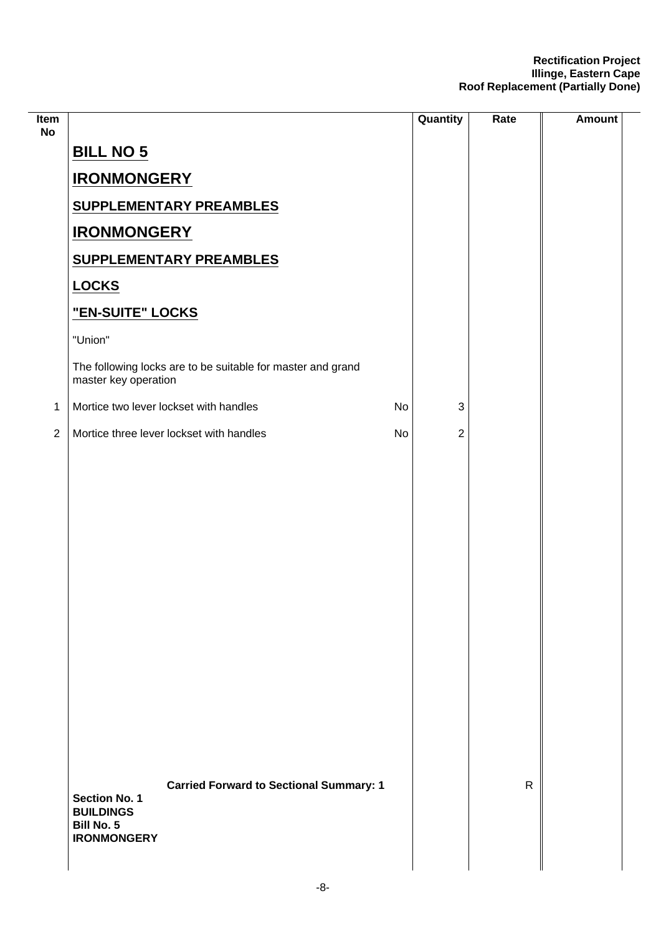| Item<br><b>No</b> |                                                                                     | Quantity                  | Rate         | <b>Amount</b> |
|-------------------|-------------------------------------------------------------------------------------|---------------------------|--------------|---------------|
|                   | <b>BILL NO 5</b>                                                                    |                           |              |               |
|                   | <b>IRONMONGERY</b>                                                                  |                           |              |               |
|                   | <b>SUPPLEMENTARY PREAMBLES</b>                                                      |                           |              |               |
|                   | <b>IRONMONGERY</b>                                                                  |                           |              |               |
|                   | <b>SUPPLEMENTARY PREAMBLES</b>                                                      |                           |              |               |
|                   | <b>LOCKS</b>                                                                        |                           |              |               |
|                   | "EN-SUITE" LOCKS                                                                    |                           |              |               |
|                   | "Union"                                                                             |                           |              |               |
|                   | The following locks are to be suitable for master and grand<br>master key operation |                           |              |               |
| $\mathbf 1$       | Mortice two lever lockset with handles<br>No                                        | $\ensuremath{\mathsf{3}}$ |              |               |
| $\overline{2}$    | Mortice three lever lockset with handles<br>No                                      | $\overline{2}$            |              |               |
|                   | <b>Carried Forward to Sectional Summary: 1</b><br><b>Section No. 1</b>              |                           | $\mathsf{R}$ |               |
|                   | <b>BUILDINGS</b><br><b>Bill No. 5</b><br><b>IRONMONGERY</b>                         |                           |              |               |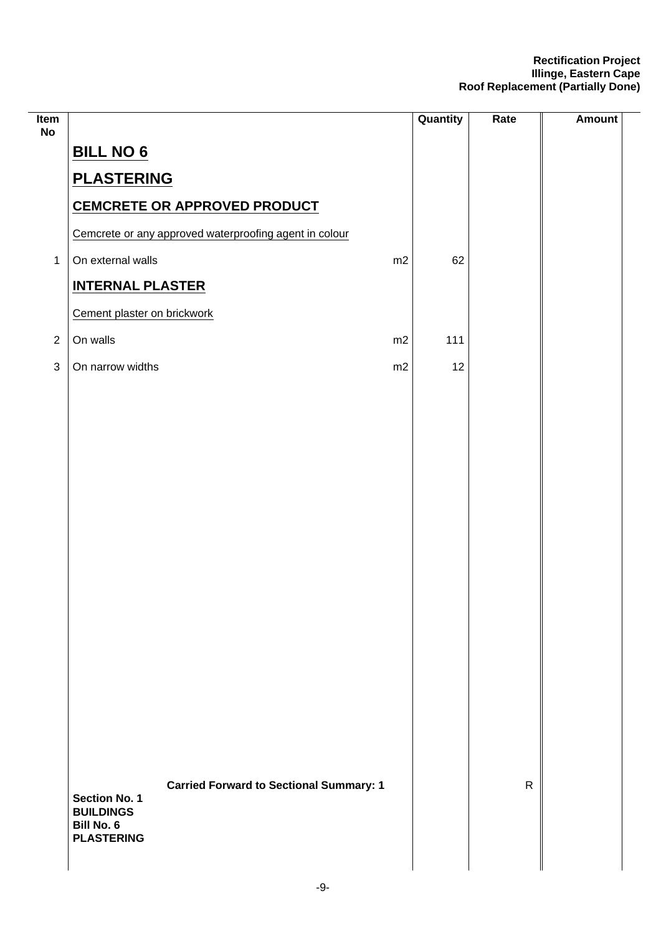| Item<br><b>No</b> |                                                        |    | Quantity | Rate         | <b>Amount</b> |
|-------------------|--------------------------------------------------------|----|----------|--------------|---------------|
|                   | <b>BILL NO 6</b>                                       |    |          |              |               |
|                   | <b>PLASTERING</b>                                      |    |          |              |               |
|                   | CEMCRETE OR APPROVED PRODUCT                           |    |          |              |               |
|                   | Cemcrete or any approved waterproofing agent in colour |    |          |              |               |
| $\mathbf{1}$      | On external walls                                      | m2 | 62       |              |               |
|                   | <b>INTERNAL PLASTER</b>                                |    |          |              |               |
|                   | Cement plaster on brickwork                            |    |          |              |               |
| $\sqrt{2}$        | On walls                                               | m2 | 111      |              |               |
| $\sqrt{3}$        | On narrow widths                                       | m2 | 12       |              |               |
|                   |                                                        |    |          |              |               |
|                   |                                                        |    |          |              |               |
|                   |                                                        |    |          |              |               |
|                   |                                                        |    |          |              |               |
|                   |                                                        |    |          |              |               |
|                   |                                                        |    |          |              |               |
|                   |                                                        |    |          |              |               |
|                   |                                                        |    |          |              |               |
|                   |                                                        |    |          |              |               |
|                   |                                                        |    |          |              |               |
|                   |                                                        |    |          |              |               |
|                   |                                                        |    |          |              |               |
|                   |                                                        |    |          |              |               |
|                   |                                                        |    |          |              |               |
|                   |                                                        |    |          |              |               |
|                   | <b>Carried Forward to Sectional Summary: 1</b>         |    |          | $\mathsf{R}$ |               |
|                   | <b>Section No. 1</b><br><b>BUILDINGS</b>               |    |          |              |               |
|                   | <b>Bill No. 6</b><br><b>PLASTERING</b>                 |    |          |              |               |
|                   |                                                        |    |          |              |               |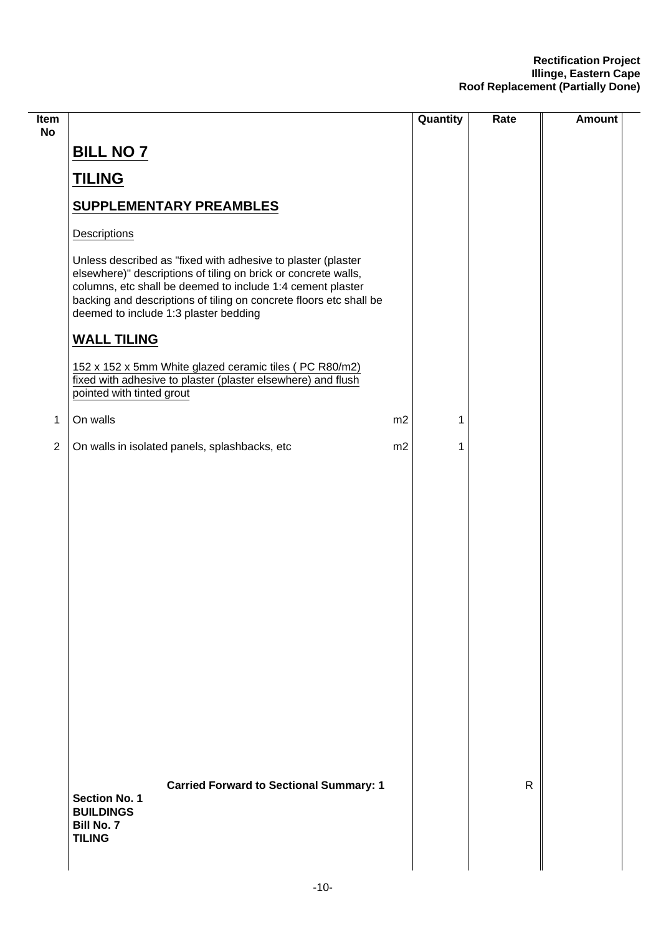| Item<br><b>No</b> |                                                                                                                                                                                                                                                                                                             |    | Quantity | Rate         | <b>Amount</b> |
|-------------------|-------------------------------------------------------------------------------------------------------------------------------------------------------------------------------------------------------------------------------------------------------------------------------------------------------------|----|----------|--------------|---------------|
|                   | <b>BILL NO 7</b>                                                                                                                                                                                                                                                                                            |    |          |              |               |
|                   | <b>TILING</b>                                                                                                                                                                                                                                                                                               |    |          |              |               |
|                   | <b>SUPPLEMENTARY PREAMBLES</b>                                                                                                                                                                                                                                                                              |    |          |              |               |
|                   | Descriptions                                                                                                                                                                                                                                                                                                |    |          |              |               |
|                   | Unless described as "fixed with adhesive to plaster (plaster<br>elsewhere)" descriptions of tiling on brick or concrete walls,<br>columns, etc shall be deemed to include 1:4 cement plaster<br>backing and descriptions of tiling on concrete floors etc shall be<br>deemed to include 1:3 plaster bedding |    |          |              |               |
|                   | <b>WALL TILING</b>                                                                                                                                                                                                                                                                                          |    |          |              |               |
|                   | 152 x 152 x 5mm White glazed ceramic tiles (PC R80/m2)<br>fixed with adhesive to plaster (plaster elsewhere) and flush<br>pointed with tinted grout                                                                                                                                                         |    |          |              |               |
| $\mathbf 1$       | On walls                                                                                                                                                                                                                                                                                                    | m2 | 1        |              |               |
| $\overline{2}$    | On walls in isolated panels, splashbacks, etc                                                                                                                                                                                                                                                               | m2 | 1        |              |               |
|                   |                                                                                                                                                                                                                                                                                                             |    |          |              |               |
|                   | <b>Carried Forward to Sectional Summary: 1</b><br><b>Section No. 1</b><br><b>BUILDINGS</b><br><b>Bill No. 7</b><br><b>TILING</b>                                                                                                                                                                            |    |          | $\mathsf{R}$ |               |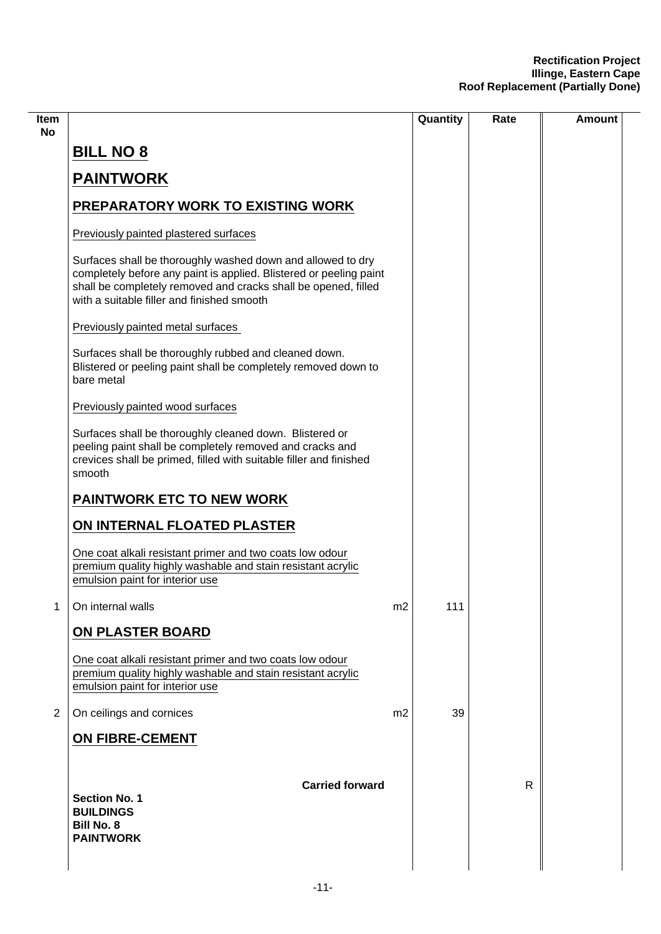| Item           |                                                                                                                                                                                                                                                   |                | Quantity | Rate | <b>Amount</b> |
|----------------|---------------------------------------------------------------------------------------------------------------------------------------------------------------------------------------------------------------------------------------------------|----------------|----------|------|---------------|
| No             | <b>BILL NO 8</b>                                                                                                                                                                                                                                  |                |          |      |               |
|                | <b>PAINTWORK</b>                                                                                                                                                                                                                                  |                |          |      |               |
|                | PREPARATORY WORK TO EXISTING WORK                                                                                                                                                                                                                 |                |          |      |               |
|                | Previously painted plastered surfaces                                                                                                                                                                                                             |                |          |      |               |
|                | Surfaces shall be thoroughly washed down and allowed to dry<br>completely before any paint is applied. Blistered or peeling paint<br>shall be completely removed and cracks shall be opened, filled<br>with a suitable filler and finished smooth |                |          |      |               |
|                | Previously painted metal surfaces                                                                                                                                                                                                                 |                |          |      |               |
|                | Surfaces shall be thoroughly rubbed and cleaned down.<br>Blistered or peeling paint shall be completely removed down to<br>bare metal                                                                                                             |                |          |      |               |
|                | Previously painted wood surfaces                                                                                                                                                                                                                  |                |          |      |               |
|                | Surfaces shall be thoroughly cleaned down. Blistered or<br>peeling paint shall be completely removed and cracks and<br>crevices shall be primed, filled with suitable filler and finished<br>smooth                                               |                |          |      |               |
|                | PAINTWORK ETC TO NEW WORK                                                                                                                                                                                                                         |                |          |      |               |
|                | ON INTERNAL FLOATED PLASTER                                                                                                                                                                                                                       |                |          |      |               |
|                | One coat alkali resistant primer and two coats low odour<br>premium quality highly washable and stain resistant acrylic<br>emulsion paint for interior use                                                                                        |                |          |      |               |
| 1.             | On internal walls                                                                                                                                                                                                                                 | m <sub>2</sub> | 111      |      |               |
|                | ON PLASTER BOARD                                                                                                                                                                                                                                  |                |          |      |               |
|                | One coat alkali resistant primer and two coats low odour<br>premium quality highly washable and stain resistant acrylic<br>emulsion paint for interior use                                                                                        |                |          |      |               |
| $\overline{2}$ | On ceilings and cornices                                                                                                                                                                                                                          | m2             | 39       |      |               |
|                | <b>ON FIBRE-CEMENT</b>                                                                                                                                                                                                                            |                |          |      |               |
|                |                                                                                                                                                                                                                                                   |                |          |      |               |
|                | <b>Carried forward</b><br><b>Section No. 1</b><br><b>BUILDINGS</b><br><b>Bill No. 8</b><br><b>PAINTWORK</b>                                                                                                                                       |                |          | R    |               |
|                |                                                                                                                                                                                                                                                   |                |          |      |               |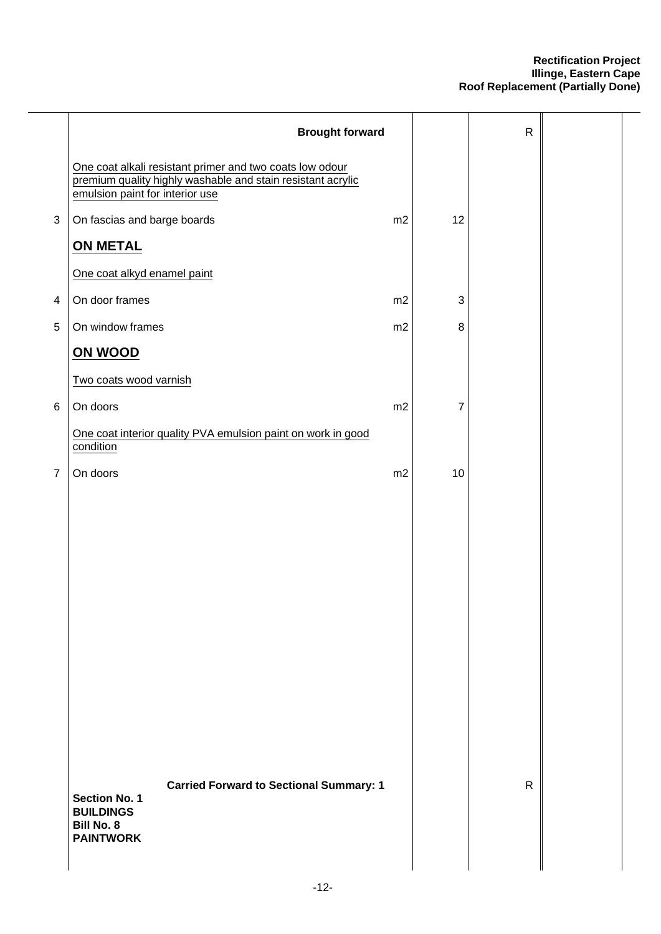|                         | <b>Brought forward</b>                                                                                                                                     |    |            | ${\sf R}$    |  |
|-------------------------|------------------------------------------------------------------------------------------------------------------------------------------------------------|----|------------|--------------|--|
|                         | One coat alkali resistant primer and two coats low odour<br>premium quality highly washable and stain resistant acrylic<br>emulsion paint for interior use |    |            |              |  |
| $\mathbf{3}$            | On fascias and barge boards                                                                                                                                | m2 | 12         |              |  |
|                         | <b>ON METAL</b>                                                                                                                                            |    |            |              |  |
|                         | One coat alkyd enamel paint                                                                                                                                |    |            |              |  |
| $\overline{\mathbf{4}}$ | On door frames                                                                                                                                             | m2 | $\sqrt{3}$ |              |  |
| 5                       | On window frames                                                                                                                                           | m2 | $\, 8$     |              |  |
|                         | ON WOOD                                                                                                                                                    |    |            |              |  |
|                         | Two coats wood varnish                                                                                                                                     |    |            |              |  |
| $\,6$                   | On doors                                                                                                                                                   | m2 | 7          |              |  |
|                         | One coat interior quality PVA emulsion paint on work in good<br>condition                                                                                  |    |            |              |  |
| $\overline{7}$          | On doors                                                                                                                                                   | m2 | 10         |              |  |
|                         |                                                                                                                                                            |    |            |              |  |
|                         | <b>Carried Forward to Sectional Summary: 1</b><br><b>Section No. 1</b><br><b>BUILDINGS</b><br><b>Bill No. 8</b><br><b>PAINTWORK</b>                        |    |            | $\mathsf{R}$ |  |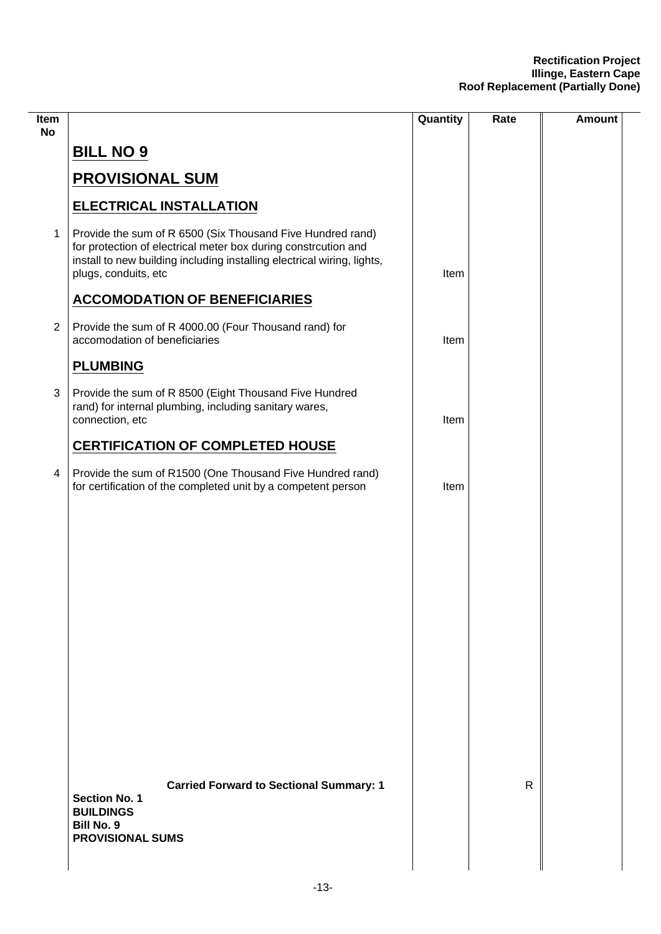| Item<br><b>No</b> |                                                                                                                                                                                                                                 | Quantity | Rate         | Amount |
|-------------------|---------------------------------------------------------------------------------------------------------------------------------------------------------------------------------------------------------------------------------|----------|--------------|--------|
|                   | <b>BILL NO 9</b>                                                                                                                                                                                                                |          |              |        |
|                   | <b>PROVISIONAL SUM</b>                                                                                                                                                                                                          |          |              |        |
|                   | <b>ELECTRICAL INSTALLATION</b>                                                                                                                                                                                                  |          |              |        |
| $\mathbf 1$       | Provide the sum of R 6500 (Six Thousand Five Hundred rand)<br>for protection of electrical meter box during constrcution and<br>install to new building including installing electrical wiring, lights,<br>plugs, conduits, etc | Item     |              |        |
|                   | <b>ACCOMODATION OF BENEFICIARIES</b>                                                                                                                                                                                            |          |              |        |
| $\overline{2}$    | Provide the sum of R 4000.00 (Four Thousand rand) for<br>accomodation of beneficiaries                                                                                                                                          | Item     |              |        |
|                   | <b>PLUMBING</b>                                                                                                                                                                                                                 |          |              |        |
| $\mathbf{3}$      | Provide the sum of R 8500 (Eight Thousand Five Hundred<br>rand) for internal plumbing, including sanitary wares,<br>connection, etc                                                                                             | Item     |              |        |
|                   | <b>CERTIFICATION OF COMPLETED HOUSE</b>                                                                                                                                                                                         |          |              |        |
| $\overline{4}$    | Provide the sum of R1500 (One Thousand Five Hundred rand)<br>for certification of the completed unit by a competent person                                                                                                      | Item     |              |        |
|                   |                                                                                                                                                                                                                                 |          |              |        |
|                   |                                                                                                                                                                                                                                 |          |              |        |
|                   |                                                                                                                                                                                                                                 |          |              |        |
|                   |                                                                                                                                                                                                                                 |          |              |        |
|                   |                                                                                                                                                                                                                                 |          |              |        |
|                   |                                                                                                                                                                                                                                 |          |              |        |
|                   |                                                                                                                                                                                                                                 |          |              |        |
|                   |                                                                                                                                                                                                                                 |          |              |        |
|                   |                                                                                                                                                                                                                                 |          |              |        |
|                   | <b>Carried Forward to Sectional Summary: 1</b><br><b>Section No. 1</b><br><b>BUILDINGS</b><br><b>Bill No. 9</b><br><b>PROVISIONAL SUMS</b>                                                                                      |          | $\mathsf{R}$ |        |
|                   |                                                                                                                                                                                                                                 |          |              |        |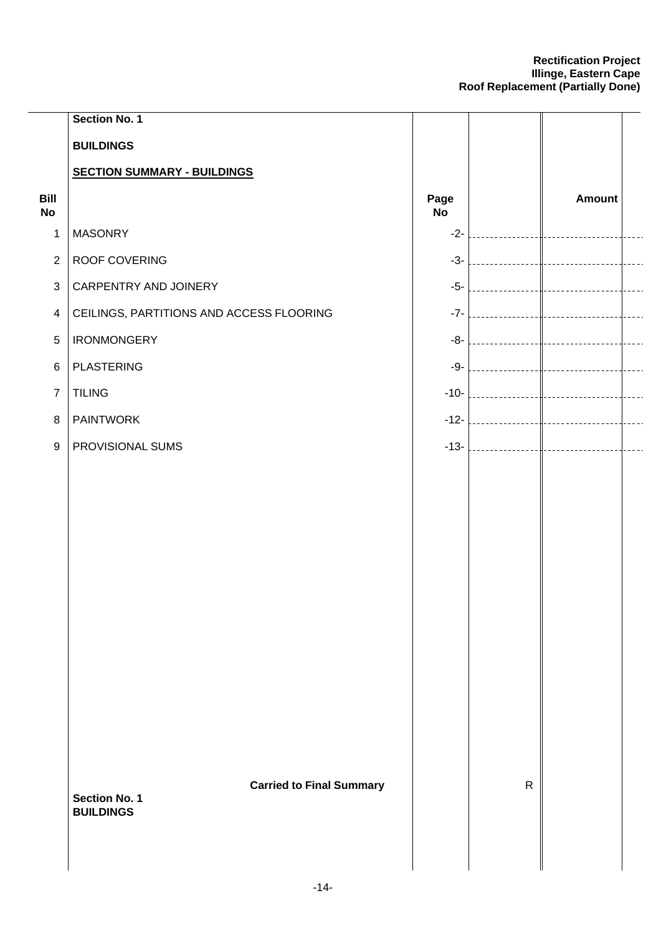|                          | Section No. 1                            |                   |              |               |  |
|--------------------------|------------------------------------------|-------------------|--------------|---------------|--|
|                          | <b>BUILDINGS</b>                         |                   |              |               |  |
|                          | <b>SECTION SUMMARY - BUILDINGS</b>       |                   |              |               |  |
| Bill<br><b>No</b>        |                                          | Page<br><b>No</b> |              | <b>Amount</b> |  |
| 1                        | <b>MASONRY</b>                           | $-2-$             |              |               |  |
| $\overline{2}$           | ROOF COVERING                            | $-3-$             |              |               |  |
| 3                        | CARPENTRY AND JOINERY                    | $-5-$             |              |               |  |
| $\overline{\mathcal{A}}$ | CEILINGS, PARTITIONS AND ACCESS FLOORING | $-7-$             |              |               |  |
| $\overline{5}$           | <b>IRONMONGERY</b>                       | -8-               |              |               |  |
| 6                        | <b>PLASTERING</b>                        | -9-               |              |               |  |
| $\overline{7}$           | <b>TILING</b>                            | $-10-$            |              |               |  |
| $\, 8$                   | <b>PAINTWORK</b>                         | $-12-$            |              |               |  |
| $\boldsymbol{9}$         | PROVISIONAL SUMS                         | $-13-$            |              |               |  |
|                          |                                          |                   |              |               |  |
|                          |                                          |                   |              |               |  |
|                          |                                          |                   |              |               |  |
|                          |                                          |                   |              |               |  |
|                          |                                          |                   |              |               |  |
|                          |                                          |                   |              |               |  |
|                          |                                          |                   |              |               |  |
|                          |                                          |                   |              |               |  |
|                          |                                          |                   |              |               |  |
|                          |                                          |                   |              |               |  |
|                          |                                          |                   |              |               |  |
|                          | <b>Carried to Final Summary</b>          |                   | $\mathsf{R}$ |               |  |
|                          | <b>Section No. 1</b><br><b>BUILDINGS</b> |                   |              |               |  |
|                          |                                          |                   |              |               |  |
|                          |                                          |                   |              |               |  |